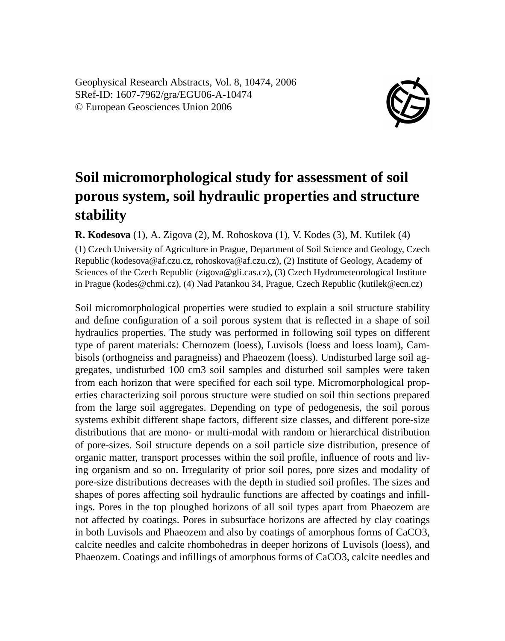Geophysical Research Abstracts, Vol. 8, 10474, 2006 SRef-ID: 1607-7962/gra/EGU06-A-10474 © European Geosciences Union 2006



## **Soil micromorphological study for assessment of soil porous system, soil hydraulic properties and structure stability**

**R. Kodesova** (1), A. Zigova (2), M. Rohoskova (1), V. Kodes (3), M. Kutilek (4)

(1) Czech University of Agriculture in Prague, Department of Soil Science and Geology, Czech Republic (kodesova@af.czu.cz, rohoskova@af.czu.cz), (2) Institute of Geology, Academy of Sciences of the Czech Republic (zigova@gli.cas.cz), (3) Czech Hydrometeorological Institute in Prague (kodes@chmi.cz), (4) Nad Patankou 34, Prague, Czech Republic (kutilek@ecn.cz)

Soil micromorphological properties were studied to explain a soil structure stability and define configuration of a soil porous system that is reflected in a shape of soil hydraulics properties. The study was performed in following soil types on different type of parent materials: Chernozem (loess), Luvisols (loess and loess loam), Cambisols (orthogneiss and paragneiss) and Phaeozem (loess). Undisturbed large soil aggregates, undisturbed 100 cm3 soil samples and disturbed soil samples were taken from each horizon that were specified for each soil type. Micromorphological properties characterizing soil porous structure were studied on soil thin sections prepared from the large soil aggregates. Depending on type of pedogenesis, the soil porous systems exhibit different shape factors, different size classes, and different pore-size distributions that are mono- or multi-modal with random or hierarchical distribution of pore-sizes. Soil structure depends on a soil particle size distribution, presence of organic matter, transport processes within the soil profile, influence of roots and living organism and so on. Irregularity of prior soil pores, pore sizes and modality of pore-size distributions decreases with the depth in studied soil profiles. The sizes and shapes of pores affecting soil hydraulic functions are affected by coatings and infillings. Pores in the top ploughed horizons of all soil types apart from Phaeozem are not affected by coatings. Pores in subsurface horizons are affected by clay coatings in both Luvisols and Phaeozem and also by coatings of amorphous forms of CaCO3, calcite needles and calcite rhombohedras in deeper horizons of Luvisols (loess), and Phaeozem. Coatings and infillings of amorphous forms of CaCO3, calcite needles and